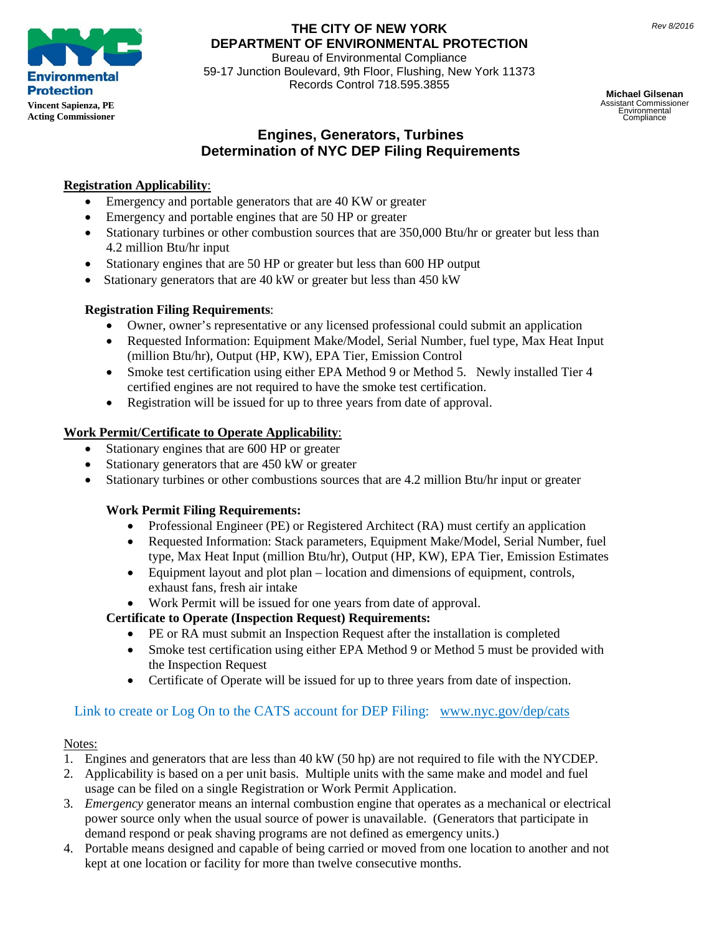

## **THE CITY OF NEW YORK DEPARTMENT OF ENVIRONMENTAL PROTECTION**

Bureau of Environmental Compliance 59-17 Junction Boulevard, 9th Floor, Flushing, New York 11373 Records Control 718.595.3855

**Michael Gilsenan** Assistant Commissioner Environmental Compliance

## **Engines, Generators, Turbines Determination of NYC DEP Filing Requirements**

## **Registration Applicability**:

- Emergency and portable generators that are 40 KW or greater
- Emergency and portable engines that are 50 HP or greater
- Stationary turbines or other combustion sources that are 350,000 Btu/hr or greater but less than 4.2 million Btu/hr input
- Stationary engines that are 50 HP or greater but less than 600 HP output
- Stationary generators that are 40 kW or greater but less than 450 kW

#### **Registration Filing Requirements**:

- Owner, owner's representative or any licensed professional could submit an application
- Requested Information: Equipment Make/Model, Serial Number, fuel type, Max Heat Input (million Btu/hr), Output (HP, KW), EPA Tier, Emission Control
- Smoke test certification using either EPA Method 9 or Method 5. Newly installed Tier 4 certified engines are not required to have the smoke test certification.
- Registration will be issued for up to three years from date of approval.

### **Work Permit/Certificate to Operate Applicability**:

- Stationary engines that are 600 HP or greater
- Stationary generators that are 450 kW or greater
- Stationary turbines or other combustions sources that are 4.2 million Btu/hr input or greater

#### **Work Permit Filing Requirements:**

- Professional Engineer (PE) or Registered Architect (RA) must certify an application
- Requested Information: Stack parameters, Equipment Make/Model, Serial Number, fuel type, Max Heat Input (million Btu/hr), Output (HP, KW), EPA Tier, Emission Estimates
- Equipment layout and plot plan location and dimensions of equipment, controls, exhaust fans, fresh air intake
- Work Permit will be issued for one years from date of approval.

#### **Certificate to Operate (Inspection Request) Requirements:**

- PE or RA must submit an Inspection Request after the installation is completed
- Smoke test certification using either EPA Method 9 or Method 5 must be provided with the Inspection Request
- Certificate of Operate will be issued for up to three years from date of inspection.

# Link to create or Log On to the CATS account for DEP Filing: [www.nyc.gov/dep/cats](http://www.nyc.gov/dep/cats)

#### Notes:

- 1. Engines and generators that are less than 40 kW (50 hp) are not required to file with the NYCDEP.
- 2. Applicability is based on a per unit basis. Multiple units with the same make and model and fuel usage can be filed on a single Registration or Work Permit Application.
- 3. *Emergency* generator means an internal combustion engine that operates as a mechanical or electrical power source only when the usual source of power is unavailable. (Generators that participate in demand respond or peak shaving programs are not defined as emergency units.)
- 4. Portable means designed and capable of being carried or moved from one location to another and not kept at one location or facility for more than twelve consecutive months.